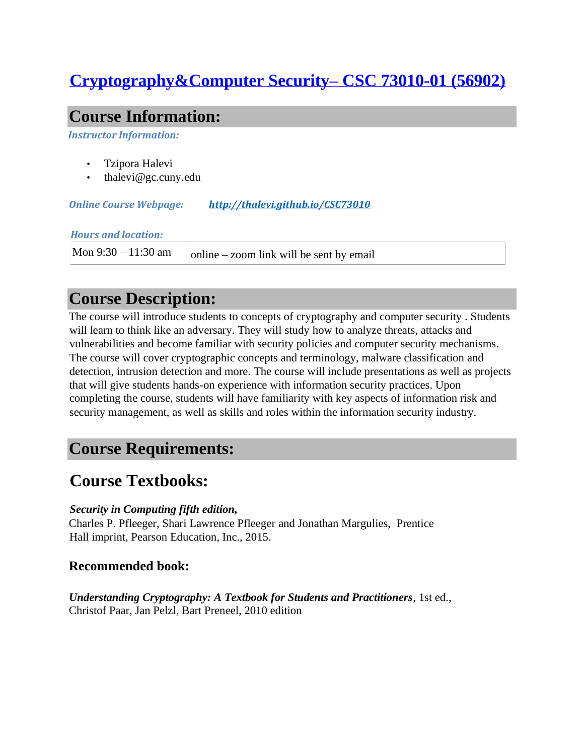# **Cryptography&Computer Security– CSC 73010-01 (56902)**

### **Course Information:**

*Instructor Information:* 

- Tzipora Halevi
- thalevi@gc.cuny.edu

*Online Course Webpage: <http://thalevi.github.io/CSC73010>*

#### *Hours and location:*

Mon 9:30 – 11:30 am  $\vert$  online – zoom link will be sent by email

# **Course Description:**

The course will introduce students to concepts of cryptography and computer security . Students will learn to think like an adversary. They will study how to analyze threats, attacks and vulnerabilities and become familiar with security policies and computer security mechanisms. The course will cover cryptographic concepts and terminology, malware classification and detection, intrusion detection and more. The course will include presentations as well as projects that will give students hands-on experience with information security practices. Upon completing the course, students will have familiarity with key aspects of information risk and security management, as well as skills and roles within the information security industry.

## **Course Requirements:**

### **Course Textbooks:**

### *Security in Computing fifth edition,*

Charles P. Pfleeger, Shari Lawrence Pfleeger and Jonathan Margulies, Prentice Hall imprint, Pearson Education, Inc., 2015.

### **Recommended book:**

*Understanding Cryptography: A Textbook for Students and Practitioners*, 1st ed., Christof Paar, Jan Pelzl, Bart Preneel, 2010 edition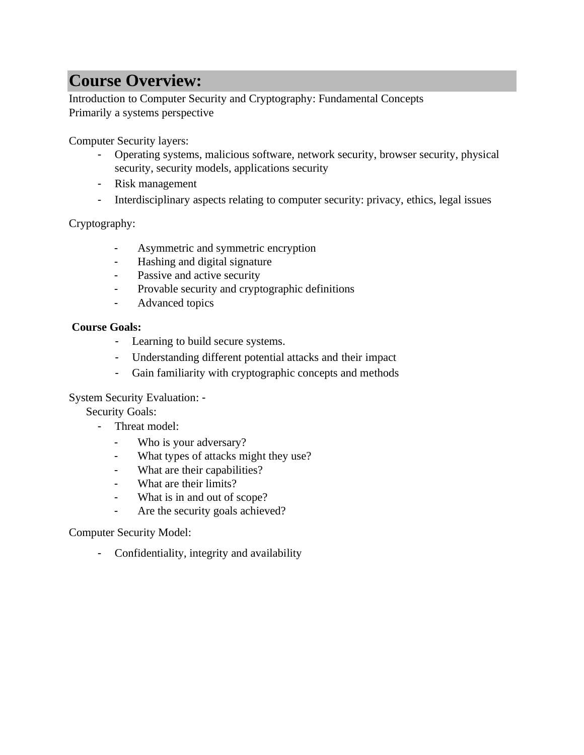# **Course Overview:**

Introduction to Computer Security and Cryptography: Fundamental Concepts Primarily a systems perspective

Computer Security layers:

- Operating systems, malicious software, network security, browser security, physical security, security models, applications security
- Risk management
- Interdisciplinary aspects relating to computer security: privacy, ethics, legal issues

Cryptography:

- Asymmetric and symmetric encryption
- Hashing and digital signature
- Passive and active security
- Provable security and cryptographic definitions
- Advanced topics

### **Course Goals:**

- Learning to build secure systems.
- Understanding different potential attacks and their impact
- Gain familiarity with cryptographic concepts and methods

System Security Evaluation: -

Security Goals:

- Threat model:
	- Who is your adversary?
	- What types of attacks might they use?
	- What are their capabilities?
	- What are their limits?
	- What is in and out of scope?
	- Are the security goals achieved?

Computer Security Model:

- Confidentiality, integrity and availability